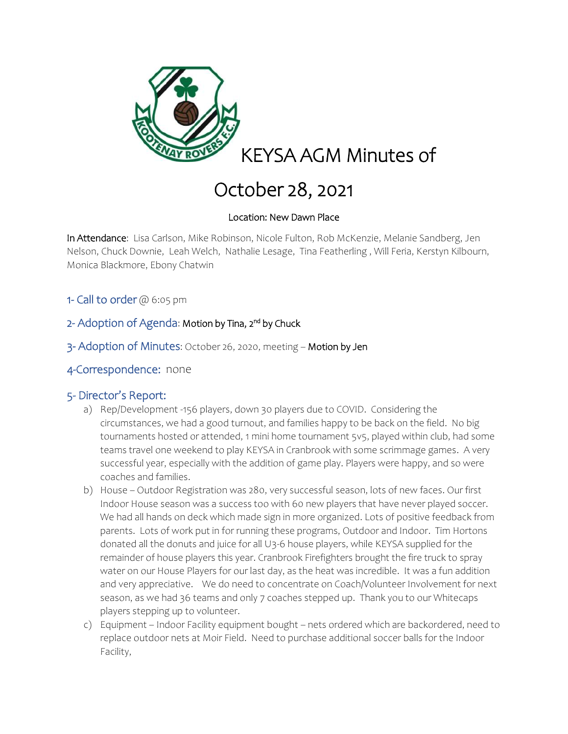

# October 28, 2021

### Location: New Dawn Place

In Attendance: Lisa Carlson, Mike Robinson, Nicole Fulton, Rob McKenzie, Melanie Sandberg, Jen Nelson, Chuck Downie, Leah Welch, Nathalie Lesage, Tina Featherling , Will Feria, Kerstyn Kilbourn, Monica Blackmore, Ebony Chatwin

- 1- Call to order  $@$  6:05 pm
- 2- Adoption of Agenda: Motion by Tina, 2<sup>nd</sup> by Chuck
- 3- Adoption of Minutes: October 26, 2020, meeting Motion by Jen
- 4-Correspondence: none

#### 5- Director's Report:

- a) Rep/Development -156 players, down 30 players due to COVID. Considering the circumstances, we had a good turnout, and families happy to be back on the field. No big tournaments hosted or attended, 1 mini home tournament 5v5, played within club, had some teams travel one weekend to play KEYSA in Cranbrook with some scrimmage games. A very successful year, especially with the addition of game play. Players were happy, and so were coaches and families.
- b) House Outdoor Registration was 280, very successful season, lots of new faces. Our first Indoor House season was a success too with 60 new players that have never played soccer. We had all hands on deck which made sign in more organized. Lots of positive feedback from parents. Lots of work put in for running these programs, Outdoor and Indoor. Tim Hortons donated all the donuts and juice for all U3-6 house players, while KEYSA supplied for the remainder of house players this year. Cranbrook Firefighters brought the fire truck to spray water on our House Players for our last day, as the heat was incredible. It was a fun addition and very appreciative. We do need to concentrate on Coach/Volunteer Involvement for next season, as we had 36 teams and only 7 coaches stepped up. Thank you to our Whitecaps players stepping up to volunteer.
- c) Equipment Indoor Facility equipment bought nets ordered which are backordered, need to replace outdoor nets at Moir Field. Need to purchase additional soccer balls for the Indoor Facility,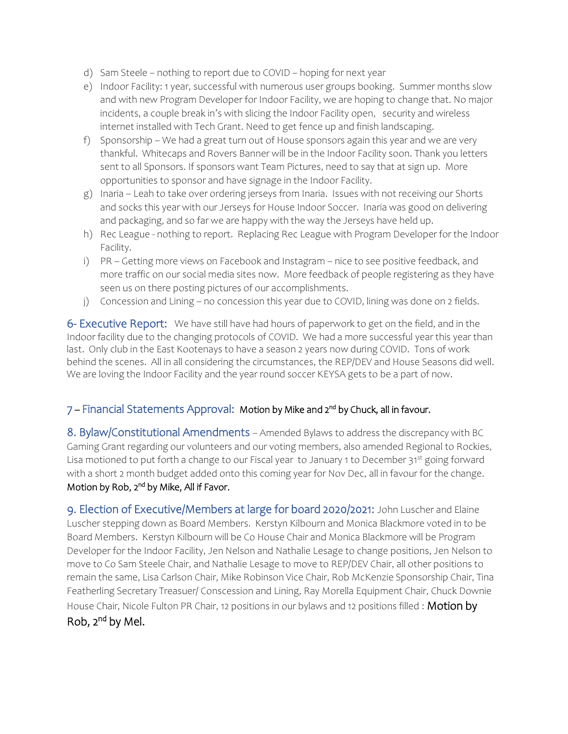- d) Sam Steele nothing to report due to COVID hoping for next year
- e) Indoor Facility: 1 year, successful with numerous user groups booking. Summer months slow and with new Program Developer for Indoor Facility, we are hoping to change that. No major incidents, a couple break in's with slicing the Indoor Facility open, security and wireless internet installed with Tech Grant. Need to get fence up and finish landscaping.
- f) Sponsorship We had a great turn out of House sponsors again this year and we are very thankful. Whitecaps and Rovers Banner will be in the Indoor Facility soon. Thank you letters sent to all Sponsors. If sponsors want Team Pictures, need to say that at sign up. More opportunities to sponsor and have signage in the Indoor Facility.
- g) Inaria Leah to take over ordering jerseys from Inaria. Issues with not receiving our Shorts and socks this year with our Jerseys for House Indoor Soccer. Inaria was good on delivering and packaging, and so far we are happy with the way the Jerseys have held up.
- h) Rec League nothing to report. Replacing Rec League with Program Developer for the Indoor Facility.
- i) PR Getting more views on Facebook and Instagram nice to see positive feedback, and more traffic on our social media sites now. More feedback of people registering as they have seen us on there posting pictures of our accomplishments.
- j) Concession and Lining no concession this year due to COVID, lining was done on 2 fields.

6- Executive Report: We have still have had hours of paperwork to get on the field, and in the Indoor facility due to the changing protocols of COVID. We had a more successful year this year than last. Only club in the East Kootenays to have a season 2 years now during COVID. Tons of work behind the scenes. All in all considering the circumstances, the REP/DEV and House Seasons did well. We are loving the Indoor Facility and the year round soccer KEYSA gets to be a part of now.

## 7 – Financial Statements Approval: Motion by Mike and 2<sup>nd</sup> by Chuck, all in favour.

8. Bylaw/Constitutional Amendments – Amended Bylaws to address the discrepancy with BC Gaming Grant regarding our volunteers and our voting members, also amended Regional to Rockies, Lisa motioned to put forth a change to our Fiscal year to January 1 to December 31<sup>st</sup> going forward with a short 2 month budget added onto this coming year for Nov Dec, all in favour for the change. Motion by Rob, 2<sup>nd</sup> by Mike, All if Favor.

9. Election of Executive/Members at large for board 2020/2021: John Luscher and Elaine Luscher stepping down as Board Members. Kerstyn Kilbourn and Monica Blackmore voted in to be Board Members. Kerstyn Kilbourn will be Co House Chair and Monica Blackmore will be Program Developer for the Indoor Facility, Jen Nelson and Nathalie Lesage to change positions, Jen Nelson to move to Co Sam Steele Chair, and Nathalie Lesage to move to REP/DEV Chair, all other positions to remain the same, Lisa Carlson Chair, Mike Robinson Vice Chair, Rob McKenzie Sponsorship Chair, Tina Featherling Secretary Treasuer/ Conscession and Lining, Ray Morella Equipment Chair, Chuck Downie House Chair, Nicole Fulton PR Chair, 12 positions in our bylaws and 12 positions filled : Motion by Rob, 2<sup>nd</sup> by Mel.